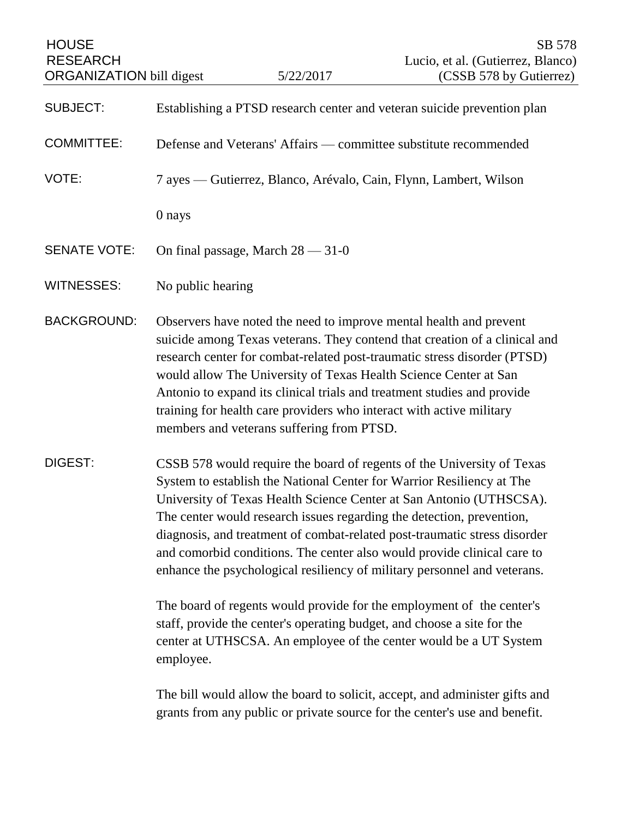| <b>HOUSE</b><br><b>RESEARCH</b><br><b>ORGANIZATION</b> bill digest |                                                                                                                                                                                                                                                                                                                                                                                                                                                                                                                                     | 5/22/2017 | SB 578<br>Lucio, et al. (Gutierrez, Blanco)<br>(CSSB 578 by Gutierrez)     |
|--------------------------------------------------------------------|-------------------------------------------------------------------------------------------------------------------------------------------------------------------------------------------------------------------------------------------------------------------------------------------------------------------------------------------------------------------------------------------------------------------------------------------------------------------------------------------------------------------------------------|-----------|----------------------------------------------------------------------------|
|                                                                    |                                                                                                                                                                                                                                                                                                                                                                                                                                                                                                                                     |           |                                                                            |
| <b>SUBJECT:</b>                                                    | Establishing a PTSD research center and veteran suicide prevention plan                                                                                                                                                                                                                                                                                                                                                                                                                                                             |           |                                                                            |
| <b>COMMITTEE:</b>                                                  | Defense and Veterans' Affairs — committee substitute recommended                                                                                                                                                                                                                                                                                                                                                                                                                                                                    |           |                                                                            |
| VOTE:                                                              | 7 ayes — Gutierrez, Blanco, Arévalo, Cain, Flynn, Lambert, Wilson                                                                                                                                                                                                                                                                                                                                                                                                                                                                   |           |                                                                            |
|                                                                    | 0 nays                                                                                                                                                                                                                                                                                                                                                                                                                                                                                                                              |           |                                                                            |
| <b>SENATE VOTE:</b>                                                | On final passage, March $28 - 31 - 0$                                                                                                                                                                                                                                                                                                                                                                                                                                                                                               |           |                                                                            |
| <b>WITNESSES:</b>                                                  | No public hearing                                                                                                                                                                                                                                                                                                                                                                                                                                                                                                                   |           |                                                                            |
| <b>BACKGROUND:</b>                                                 | Observers have noted the need to improve mental health and prevent<br>research center for combat-related post-traumatic stress disorder (PTSD)<br>would allow The University of Texas Health Science Center at San<br>Antonio to expand its clinical trials and treatment studies and provide<br>training for health care providers who interact with active military<br>members and veterans suffering from PTSD.                                                                                                                  |           | suicide among Texas veterans. They contend that creation of a clinical and |
| DIGEST:                                                            | CSSB 578 would require the board of regents of the University of Texas<br>System to establish the National Center for Warrior Resiliency at The<br>University of Texas Health Science Center at San Antonio (UTHSCSA).<br>The center would research issues regarding the detection, prevention,<br>diagnosis, and treatment of combat-related post-traumatic stress disorder<br>and comorbid conditions. The center also would provide clinical care to<br>enhance the psychological resiliency of military personnel and veterans. |           |                                                                            |
|                                                                    | The board of regents would provide for the employment of the center's<br>staff, provide the center's operating budget, and choose a site for the<br>center at UTHSCSA. An employee of the center would be a UT System<br>employee.                                                                                                                                                                                                                                                                                                  |           |                                                                            |

The bill would allow the board to solicit, accept, and administer gifts and grants from any public or private source for the center's use and benefit.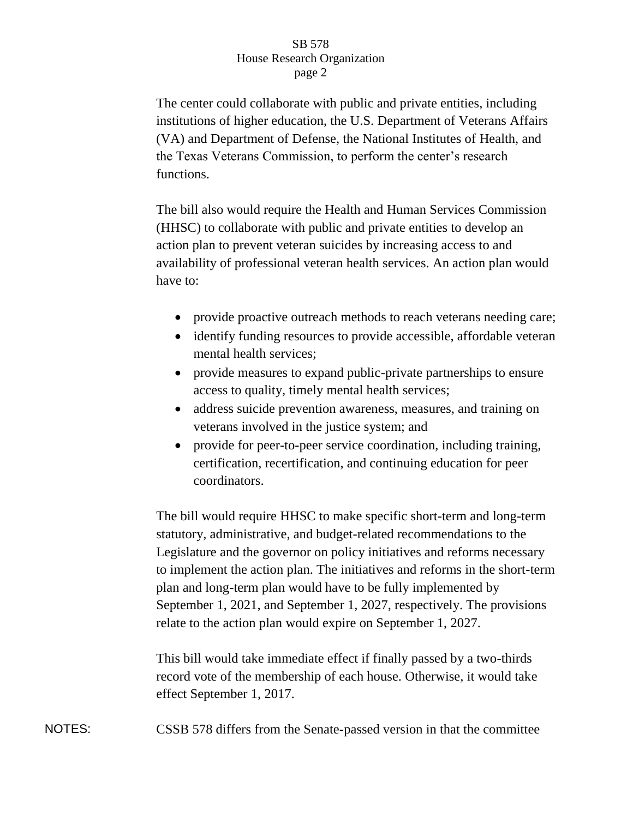## SB 578 House Research Organization page 2

The center could collaborate with public and private entities, including institutions of higher education, the U.S. Department of Veterans Affairs (VA) and Department of Defense, the National Institutes of Health, and the Texas Veterans Commission, to perform the center's research functions.

The bill also would require the Health and Human Services Commission (HHSC) to collaborate with public and private entities to develop an action plan to prevent veteran suicides by increasing access to and availability of professional veteran health services. An action plan would have to:

- provide proactive outreach methods to reach veterans needing care;
- identify funding resources to provide accessible, affordable veteran mental health services;
- provide measures to expand public-private partnerships to ensure access to quality, timely mental health services;
- address suicide prevention awareness, measures, and training on veterans involved in the justice system; and
- provide for peer-to-peer service coordination, including training, certification, recertification, and continuing education for peer coordinators.

The bill would require HHSC to make specific short-term and long-term statutory, administrative, and budget-related recommendations to the Legislature and the governor on policy initiatives and reforms necessary to implement the action plan. The initiatives and reforms in the short-term plan and long-term plan would have to be fully implemented by September 1, 2021, and September 1, 2027, respectively. The provisions relate to the action plan would expire on September 1, 2027.

This bill would take immediate effect if finally passed by a two-thirds record vote of the membership of each house. Otherwise, it would take effect September 1, 2017.

NOTES: CSSB 578 differs from the Senate-passed version in that the committee